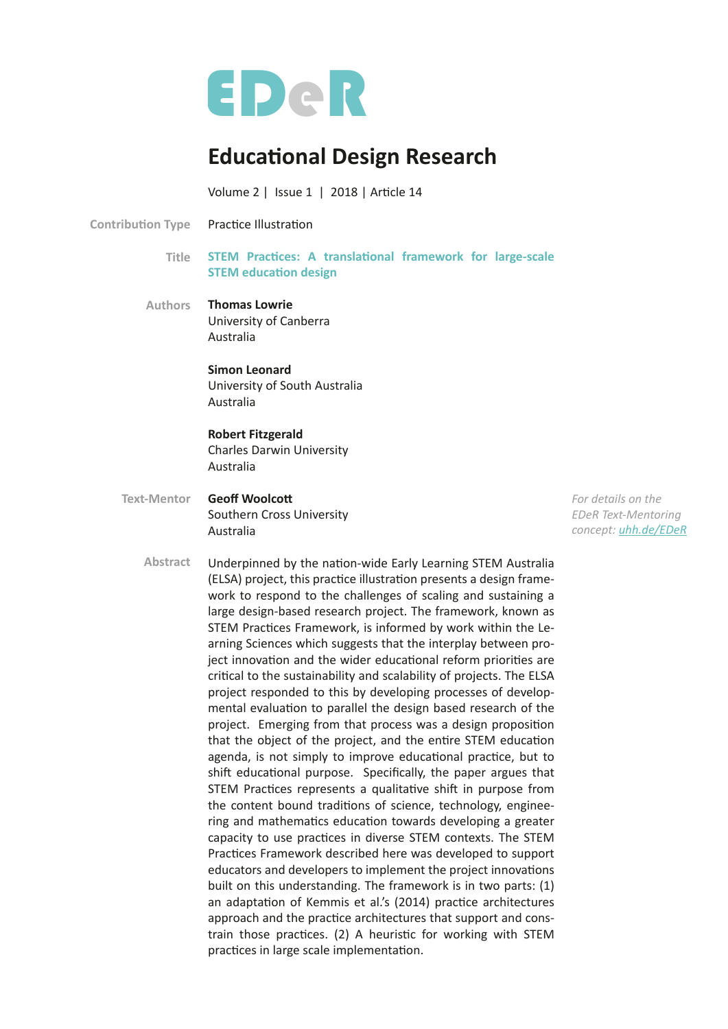

# **Educational Design Research**

Volume 2 | Issue 1 | 2018 | Article 14

Practice Illustration **Contribution Type** 

- Title STEM Practices: A translational framework for large-scale **STEM education design**
- **Thomas Lowrie** University of Canberra Australia **Authors**

## **Simon Leonard** University of South Australia Australia

## **Robert Fitzgerald**

Charles Darwin University Australia

**Geoff Woolcott** Southern Cross University Australia **Text-Mentor**

*For details on the EDeR Text-Mentoring concept: [uhh.de/EDeR](https://uhh.de/eder)*

Underpinned by the naton-wide Early Learning STEM Australia (ELSA) project, this practice illustration presents a design framework to respond to the challenges of scaling and sustaining a large design-based research project. The framework, known as STEM Practices Framework, is informed by work within the Learning Sciences which suggests that the interplay between project innovation and the wider educational reform priorities are critcal to the sustainability and scalability of projects. The ELSA project responded to this by developing processes of developmental evaluation to parallel the design based research of the project. Emerging from that process was a design propositon that the object of the project, and the entire STEM education agenda, is not simply to improve educational practice, but to shift educational purpose. Specifically, the paper argues that STEM Practices represents a qualitative shift in purpose from the content bound traditons of science, technology, engineering and mathematics education towards developing a greater capacity to use practices in diverse STEM contexts. The STEM Practices Framework described here was developed to support educators and developers to implement the project innovations built on this understanding. The framework is in two parts: (1) an adaptation of Kemmis et al.'s (2014) practice architectures approach and the practice architectures that support and constrain those practices. (2) A heuristic for working with STEM practices in large scale implementation. **Abstract**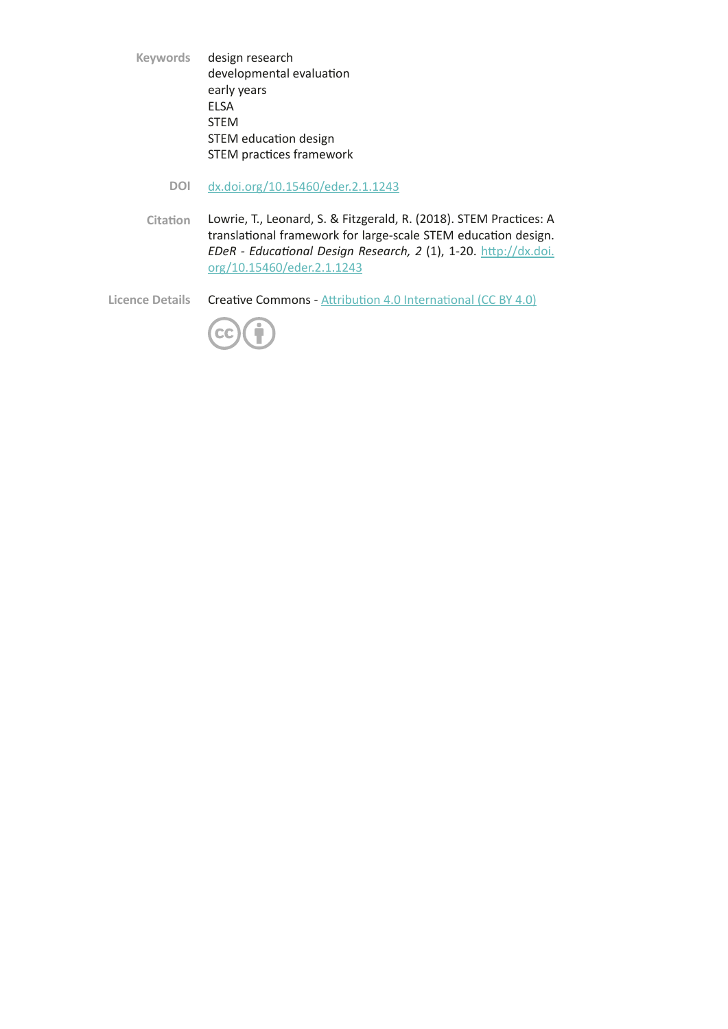design research developmental evaluation early years ELSA STEM STEM education design STEM practices framework **Keywords**

- [dx.doi.org/10.15460/eder.2.1.1243](http://dx.doi.org/10.15460/eder.2.1.1243) **DOI**
- Lowrie, T., Leonard, S. & Fitzgerald, R. (2018). STEM Practices: A translational framework for large-scale STEM education design. *EDeR - Educatonal Design Research, 2* (1), 1-20.[htp://dx.doi.](http://dx.doi.org/10.15460/eder.2.1.1243) [org/10.15460/eder.2.1.1243](http://dx.doi.org/10.15460/eder.2.1.1243) **Citaton**

Creative Commons - Attribution 4.0 International (CC BY 4.0) **Licence Details**

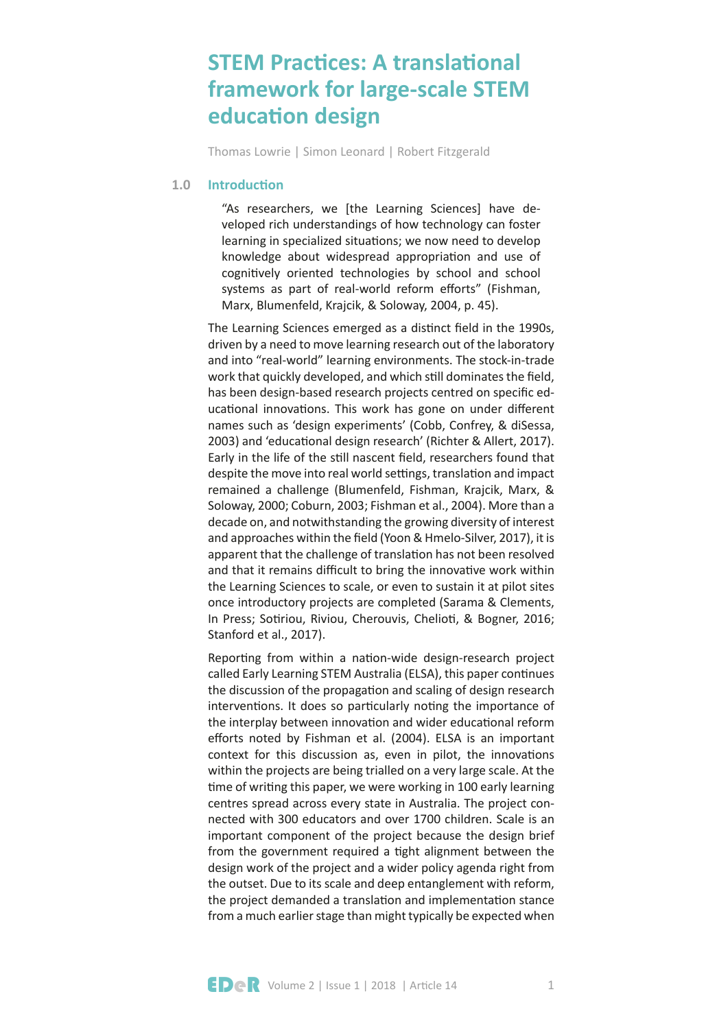## **STEM Practices: A translational framework for large-scale STEM education design**

Thomas Lowrie | Simon Leonard | Robert Fitzgerald

#### **Introduction 1.0**

"As researchers, we [the Learning Sciences] have developed rich understandings of how technology can foster learning in specialized situations; we now need to develop knowledge about widespread appropriation and use of cognitively oriented technologies by school and school systems as part of real-world reform efforts" (Fishman, Marx, Blumenfeld, Krajcik, & Soloway, 2004, p. 45).

The Learning Sciences emerged as a distinct field in the 1990s, driven by a need to move learning research out of the laboratory and into "real-world" learning environments. The stock-in-trade work that quickly developed, and which still dominates the field, has been design-based research projects centred on specifc educational innovations. This work has gone on under different names such as 'design experiments' (Cobb, Confrey, & diSessa, 2003) and 'educatonal design research' (Richter & Allert, 2017). Early in the life of the stll nascent feld, researchers found that despite the move into real world settings, translation and impact remained a challenge (Blumenfeld, Fishman, Krajcik, Marx, & Soloway, 2000; Coburn, 2003; Fishman et al., 2004). More than a decade on, and notwithstanding the growing diversity of interest and approaches within the feld (Yoon & Hmelo-Silver, 2017), it is apparent that the challenge of translation has not been resolved and that it remains difficult to bring the innovative work within the Learning Sciences to scale, or even to sustain it at pilot sites once introductory projects are completed (Sarama & Clements, In Press; Sotiriou, Riviou, Cherouvis, Chelioti, & Bogner, 2016; Stanford et al., 2017).

Reporting from within a nation-wide design-research project called Early Learning STEM Australia (ELSA), this paper continues the discussion of the propagation and scaling of design research interventions. It does so particularly noting the importance of the interplay between innovation and wider educational reform efforts noted by Fishman et al. (2004). ELSA is an important context for this discussion as, even in pilot, the innovations within the projects are being trialled on a very large scale. At the time of writing this paper, we were working in 100 early learning centres spread across every state in Australia. The project connected with 300 educators and over 1700 children. Scale is an important component of the project because the design brief from the government required a tight alignment between the design work of the project and a wider policy agenda right from the outset. Due to its scale and deep entanglement with reform, the project demanded a translation and implementation stance from a much earlier stage than might typically be expected when

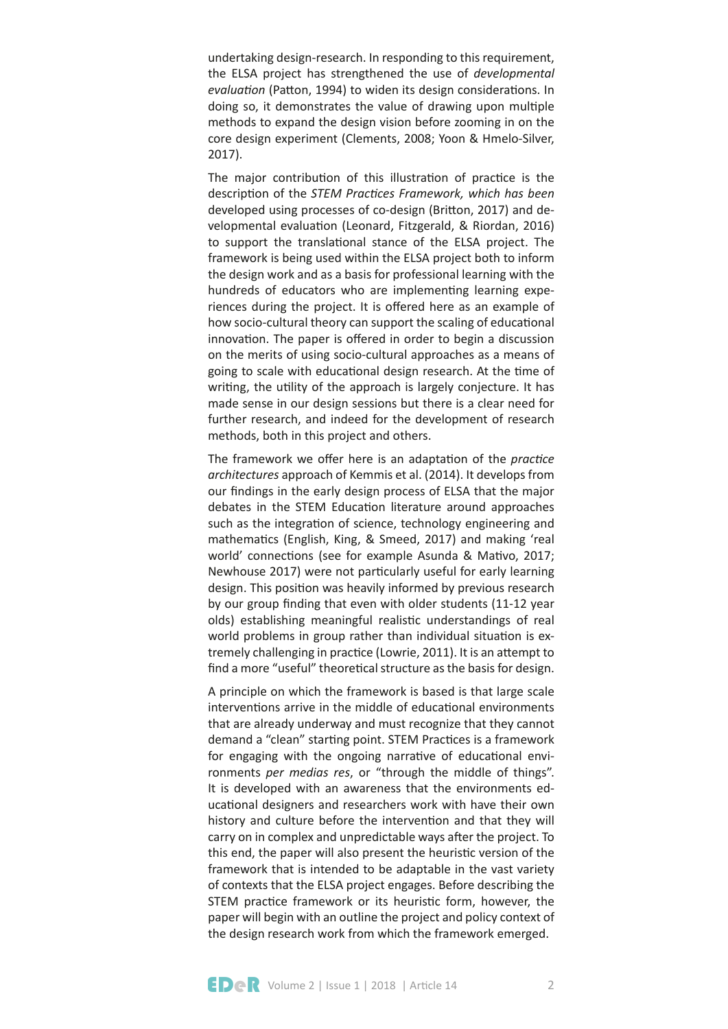undertaking design-research. In responding to this requirement, the ELSA project has strengthened the use of *developmental evaluation* (Patton, 1994) to widen its design considerations. In doing so, it demonstrates the value of drawing upon multiple methods to expand the design vision before zooming in on the core design experiment (Clements, 2008; Yoon & Hmelo-Silver, 2017).

The major contribution of this illustration of practice is the description of the STEM Practices Framework, which has been developed using processes of co-design (Briton, 2017) and developmental evaluation (Leonard, Fitzgerald, & Riordan, 2016) to support the translational stance of the ELSA project. The framework is being used within the ELSA project both to inform the design work and as a basis for professional learning with the hundreds of educators who are implementing learning experiences during the project. It is ofered here as an example of how socio-cultural theory can support the scaling of educational innovation. The paper is offered in order to begin a discussion on the merits of using socio-cultural approaches as a means of going to scale with educational design research. At the time of writing, the utility of the approach is largely conjecture. It has made sense in our design sessions but there is a clear need for further research, and indeed for the development of research methods, both in this project and others.

The framework we offer here is an adaptation of the *practice architectures* approach of Kemmis et al. (2014). It develops from our fndings in the early design process of ELSA that the major debates in the STEM Education literature around approaches such as the integration of science, technology engineering and mathematics (English, King, & Smeed, 2017) and making 'real world' connections (see for example Asunda & Mativo, 2017; Newhouse 2017) were not particularly useful for early learning design. This positon was heavily informed by previous research by our group fnding that even with older students (11-12 year olds) establishing meaningful realistic understandings of real world problems in group rather than individual situation is extremely challenging in practice (Lowrie, 2011). It is an attempt to find a more "useful" theoretical structure as the basis for design.

A principle on which the framework is based is that large scale interventions arrive in the middle of educational environments that are already underway and must recognize that they cannot demand a "clean" starting point. STEM Practices is a framework for engaging with the ongoing narrative of educational environments *per medias res*, or "through the middle of things". It is developed with an awareness that the environments educational designers and researchers work with have their own history and culture before the intervention and that they will carry on in complex and unpredictable ways after the project. To this end, the paper will also present the heuristic version of the framework that is intended to be adaptable in the vast variety of contexts that the ELSA project engages. Before describing the STEM practice framework or its heuristic form, however, the paper will begin with an outline the project and policy context of the design research work from which the framework emerged.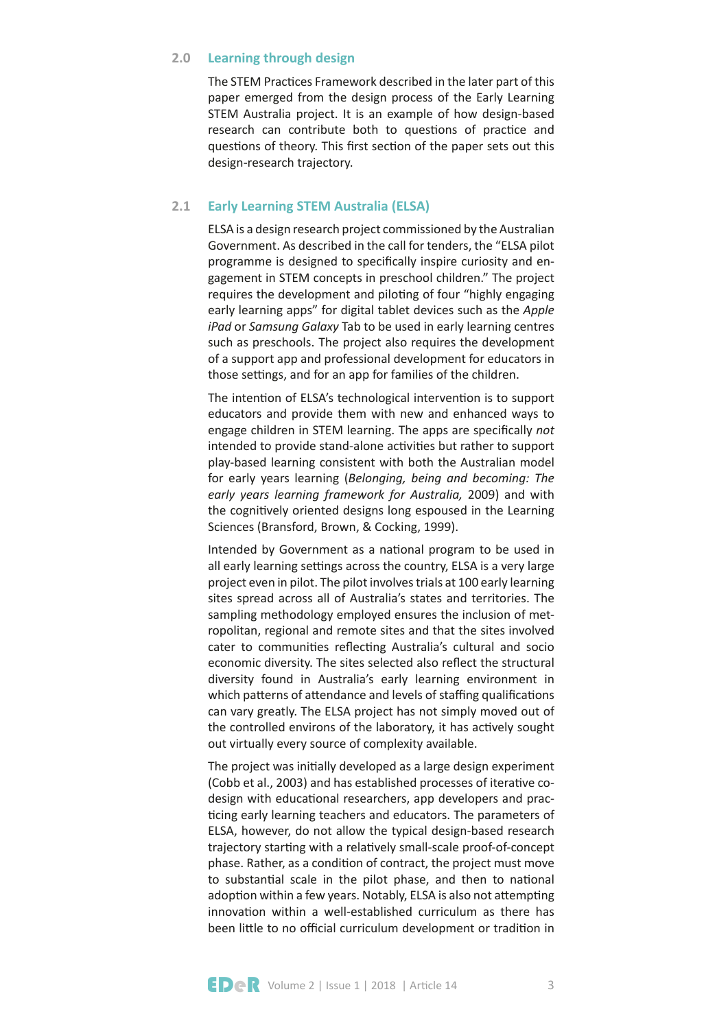#### **Learning through design 2.0**

The STEM Practices Framework described in the later part of this paper emerged from the design process of the Early Learning STEM Australia project. It is an example of how design-based research can contribute both to questions of practice and questions of theory. This first section of the paper sets out this design-research trajectory.

#### **Early Learning STEM Australia (ELSA) 2.1**

ELSA is a design research project commissioned by the Australian Government. As described in the call for tenders, the "ELSA pilot programme is designed to specifcally inspire curiosity and engagement in STEM concepts in preschool children." The project requires the development and piloting of four "highly engaging early learning apps" for digital tablet devices such as the *Apple iPad* or *Samsung Galaxy* Tab to be used in early learning centres such as preschools. The project also requires the development of a support app and professional development for educators in those settings, and for an app for families of the children.

The intention of ELSA's technological intervention is to support educators and provide them with new and enhanced ways to engage children in STEM learning. The apps are specifcally *not* intended to provide stand-alone activities but rather to support play-based learning consistent with both the Australian model for early years learning (*Belonging, being and becoming: The early years learning framework for Australia,* 2009) and with the cognitvely oriented designs long espoused in the Learning Sciences (Bransford, Brown, & Cocking, 1999).

Intended by Government as a natonal program to be used in all early learning settings across the country, ELSA is a very large project even in pilot. The pilot involves trials at 100 early learning sites spread across all of Australia's states and territories. The sampling methodology employed ensures the inclusion of metropolitan, regional and remote sites and that the sites involved cater to communities reflecting Australia's cultural and socio economic diversity. The sites selected also refect the structural diversity found in Australia's early learning environment in which patterns of attendance and levels of staffing qualifications can vary greatly. The ELSA project has not simply moved out of the controlled environs of the laboratory, it has actively sought out virtually every source of complexity available.

The project was initally developed as a large design experiment (Cobb et al., 2003) and has established processes of iteratve codesign with educatonal researchers, app developers and practicing early learning teachers and educators. The parameters of ELSA, however, do not allow the typical design-based research trajectory starting with a relatively small-scale proof-of-concept phase. Rather, as a conditon of contract, the project must move to substantial scale in the pilot phase, and then to national adoption within a few years. Notably, ELSA is also not attempting innovation within a well-established curriculum as there has been little to no official curriculum development or tradition in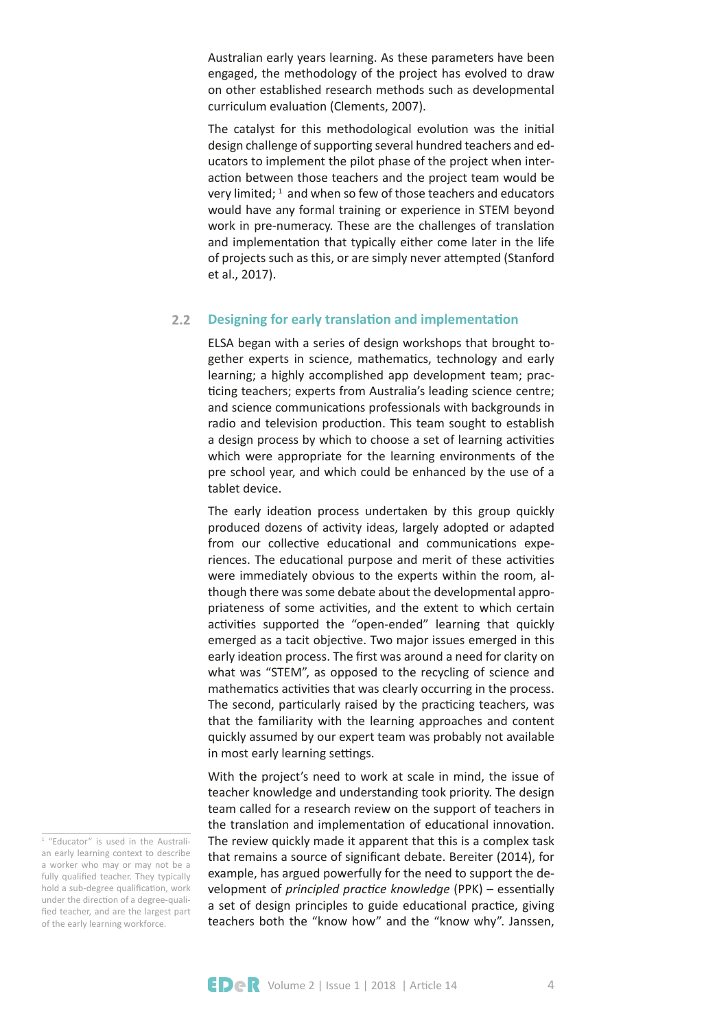Australian early years learning. As these parameters have been engaged, the methodology of the project has evolved to draw on other established research methods such as developmental curriculum evaluaton (Clements, 2007).

The catalyst for this methodological evolution was the initial design challenge of supporting several hundred teachers and educators to implement the pilot phase of the project when interaction between those teachers and the project team would be very limited;  $1$  and when so few of those teachers and educators would have any formal training or experience in STEM beyond work in pre-numeracy. These are the challenges of translation and implementaton that typically either come later in the life of projects such as this, or are simply never atempted (Stanford et al., 2017).

#### **Designing for early translaton and implementaton 2.2**

ELSA began with a series of design workshops that brought together experts in science, mathematics, technology and early learning; a highly accomplished app development team; practicing teachers; experts from Australia's leading science centre; and science communications professionals with backgrounds in radio and television production. This team sought to establish a design process by which to choose a set of learning activities which were appropriate for the learning environments of the pre school year, and which could be enhanced by the use of a tablet device.

The early ideation process undertaken by this group quickly produced dozens of activity ideas, largely adopted or adapted from our collective educational and communications experiences. The educational purpose and merit of these activities were immediately obvious to the experts within the room, although there was some debate about the developmental appropriateness of some activities, and the extent to which certain activities supported the "open-ended" learning that quickly emerged as a tacit objective. Two major issues emerged in this early ideation process. The first was around a need for clarity on what was "STEM", as opposed to the recycling of science and mathematics activities that was clearly occurring in the process. The second, particularly raised by the practicing teachers, was that the familiarity with the learning approaches and content quickly assumed by our expert team was probably not available in most early learning settings.

With the project's need to work at scale in mind, the issue of teacher knowledge and understanding took priority. The design team called for a research review on the support of teachers in the translation and implementation of educational innovation. The review quickly made it apparent that this is a complex task that remains a source of signifcant debate. Bereiter (2014), for example, has argued powerfully for the need to support the development of *principled practice knowledge* (PPK) – essentially a set of design principles to guide educational practice, giving teachers both the "know how" and the "know why". Janssen,

<sup>&</sup>lt;sup>1</sup> "Educator" is used in the Australian early learning context to describe a worker who may or may not be a fully qualified teacher. They typically hold a sub-degree qualification, work under the direction of a degree-qualified teacher, and are the largest part of the early learning workforce.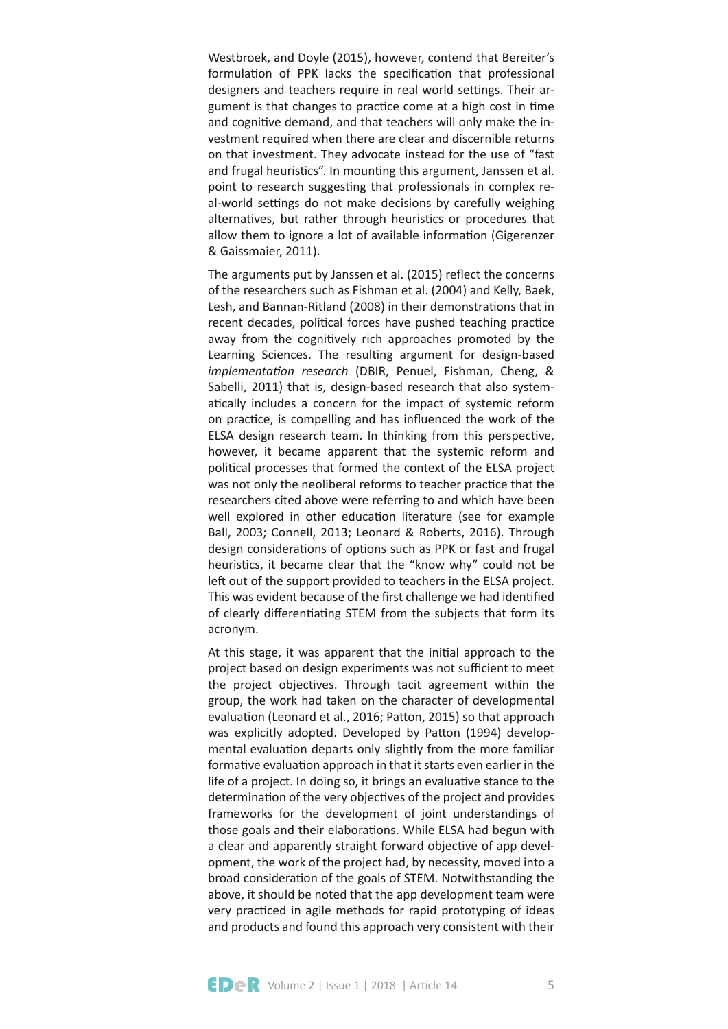Westbroek, and Doyle (2015), however, contend that Bereiter's formulation of PPK lacks the specification that professional designers and teachers require in real world settings. Their argument is that changes to practice come at a high cost in time and cognitve demand, and that teachers will only make the investment required when there are clear and discernible returns on that investment. They advocate instead for the use of "fast and frugal heuristics". In mounting this argument, Janssen et al. point to research suggestng that professionals in complex real-world settings do not make decisions by carefully weighing alternatives, but rather through heuristics or procedures that allow them to ignore a lot of available information (Gigerenzer & Gaissmaier, 2011).

The arguments put by Janssen et al. (2015) reflect the concerns of the researchers such as Fishman et al. (2004) and Kelly, Baek, Lesh, and Bannan-Ritland (2008) in their demonstrations that in recent decades, political forces have pushed teaching practice away from the cognitively rich approaches promoted by the Learning Sciences. The resulting argument for design-based *implementaton research* (DBIR, Penuel, Fishman, Cheng, & Sabelli, 2011) that is, design-based research that also systematically includes a concern for the impact of systemic reform on practice, is compelling and has influenced the work of the ELSA design research team. In thinking from this perspective, however, it became apparent that the systemic reform and politcal processes that formed the context of the ELSA project was not only the neoliberal reforms to teacher practice that the researchers cited above were referring to and which have been well explored in other education literature (see for example Ball, 2003; Connell, 2013; Leonard & Roberts, 2016). Through design considerations of options such as PPK or fast and frugal heuristics, it became clear that the "know why" could not be left out of the support provided to teachers in the ELSA project. This was evident because of the first challenge we had identified of clearly differentiating STEM from the subjects that form its acronym.

At this stage, it was apparent that the initial approach to the project based on design experiments was not sufficient to meet the project objectives. Through tacit agreement within the group, the work had taken on the character of developmental evaluation (Leonard et al., 2016; Patton, 2015) so that approach was explicitly adopted. Developed by Patton (1994) developmental evaluation departs only slightly from the more familiar formative evaluation approach in that it starts even earlier in the life of a project. In doing so, it brings an evaluative stance to the determination of the very objectives of the project and provides frameworks for the development of joint understandings of those goals and their elaborations. While ELSA had begun with a clear and apparently straight forward objective of app development, the work of the project had, by necessity, moved into a broad consideraton of the goals of STEM. Notwithstanding the above, it should be noted that the app development team were very practiced in agile methods for rapid prototyping of ideas and products and found this approach very consistent with their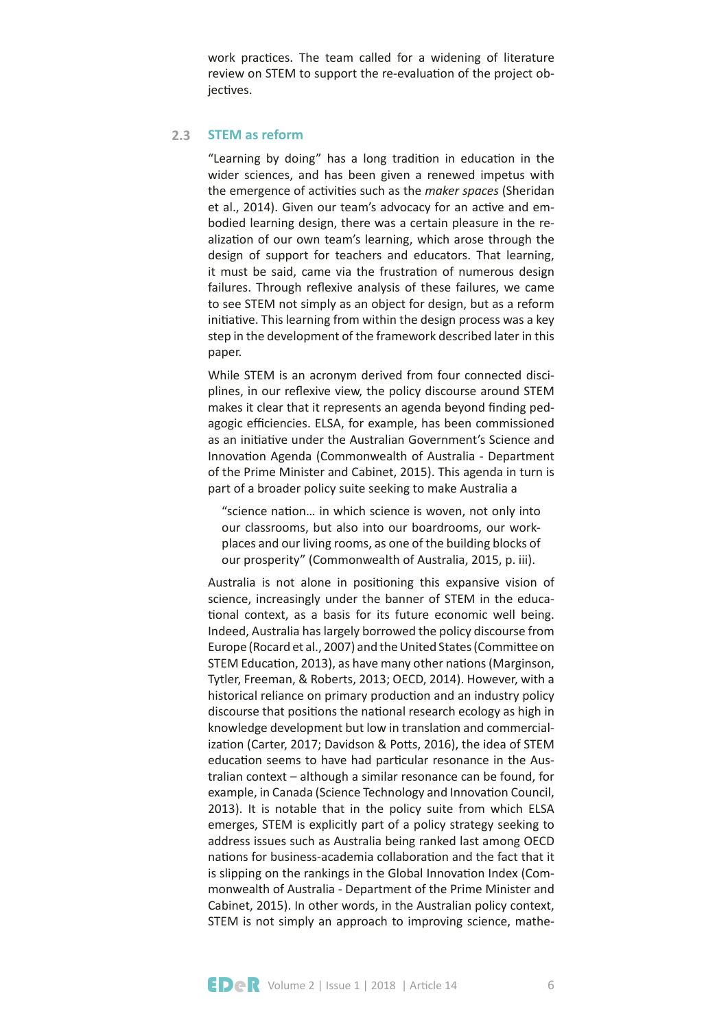work practices. The team called for a widening of literature review on STEM to support the re-evaluaton of the project objectives.

#### **STEM as reform 2.3**

"Learning by doing" has a long tradition in education in the wider sciences, and has been given a renewed impetus with the emergence of actvites such as the *maker spaces* (Sheridan et al., 2014). Given our team's advocacy for an active and embodied learning design, there was a certain pleasure in the realization of our own team's learning, which arose through the design of support for teachers and educators. That learning, it must be said, came via the frustration of numerous design failures. Through reflexive analysis of these failures, we came to see STEM not simply as an object for design, but as a reform initiative. This learning from within the design process was a key step in the development of the framework described later in this paper.

While STEM is an acronym derived from four connected disciplines, in our refexive view, the policy discourse around STEM makes it clear that it represents an agenda beyond fnding pedagogic efficiencies. ELSA, for example, has been commissioned as an initiative under the Australian Government's Science and Innovation Agenda (Commonwealth of Australia - Department of the Prime Minister and Cabinet, 2015). This agenda in turn is part of a broader policy suite seeking to make Australia a

"science nation... in which science is woven, not only into our classrooms, but also into our boardrooms, our workplaces and our living rooms, as one of the building blocks of our prosperity" (Commonwealth of Australia, 2015, p. iii).

Australia is not alone in positoning this expansive vision of science, increasingly under the banner of STEM in the educational context, as a basis for its future economic well being. Indeed, Australia has largely borrowed the policy discourse from Europe (Rocard et al., 2007) and the United States (Commitee on STEM Education, 2013), as have many other nations (Marginson, Tytler, Freeman, & Roberts, 2013; OECD, 2014). However, with a historical reliance on primary production and an industry policy discourse that positions the national research ecology as high in knowledge development but low in translation and commercialization (Carter, 2017; Davidson & Potts, 2016), the idea of STEM education seems to have had particular resonance in the Australian context – although a similar resonance can be found, for example, in Canada (Science Technology and Innovation Council, 2013). It is notable that in the policy suite from which ELSA emerges, STEM is explicitly part of a policy strategy seeking to address issues such as Australia being ranked last among OECD nations for business-academia collaboration and the fact that it is slipping on the rankings in the Global Innovation Index (Commonwealth of Australia - Department of the Prime Minister and Cabinet, 2015). In other words, in the Australian policy context, STEM is not simply an approach to improving science, mathe-

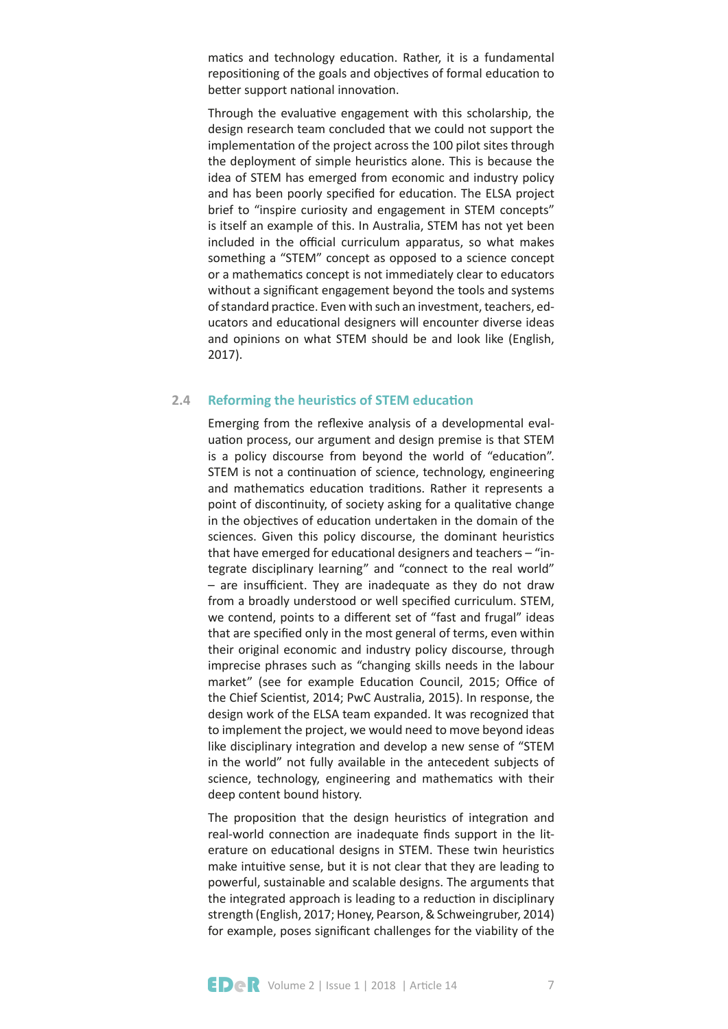matics and technology education. Rather, it is a fundamental repositioning of the goals and objectives of formal education to better support national innovation.

Through the evaluatve engagement with this scholarship, the design research team concluded that we could not support the implementaton of the project across the 100 pilot sites through the deployment of simple heuristics alone. This is because the idea of STEM has emerged from economic and industry policy and has been poorly specified for education. The ELSA project brief to "inspire curiosity and engagement in STEM concepts" is itself an example of this. In Australia, STEM has not yet been included in the official curriculum apparatus, so what makes something a "STEM" concept as opposed to a science concept or a mathematics concept is not immediately clear to educators without a signifcant engagement beyond the tools and systems of standard practice. Even with such an investment, teachers, educators and educatonal designers will encounter diverse ideas and opinions on what STEM should be and look like (English, 2017).

#### **Reforming the heuristics of STEM education 2.4**

Emerging from the refexive analysis of a developmental evaluation process, our argument and design premise is that STEM is a policy discourse from beyond the world of "educaton". STEM is not a continuation of science, technology, engineering and mathematics education traditions. Rather it represents a point of discontinuity, of society asking for a qualitative change in the objectives of education undertaken in the domain of the sciences. Given this policy discourse, the dominant heuristics that have emerged for educational designers and teachers  $-$  "integrate disciplinary learning" and "connect to the real world"  $-$  are insufficient. They are inadequate as they do not draw from a broadly understood or well specifed curriculum. STEM, we contend, points to a diferent set of "fast and frugal" ideas that are specifed only in the most general of terms, even within their original economic and industry policy discourse, through imprecise phrases such as "changing skills needs in the labour market" (see for example Education Council, 2015; Office of the Chief Scientist, 2014; PwC Australia, 2015). In response, the design work of the ELSA team expanded. It was recognized that to implement the project, we would need to move beyond ideas like disciplinary integration and develop a new sense of "STEM in the world" not fully available in the antecedent subjects of science, technology, engineering and mathematics with their deep content bound history.

The proposition that the design heuristics of integration and real-world connection are inadequate finds support in the literature on educational designs in STEM. These twin heuristics make intuitve sense, but it is not clear that they are leading to powerful, sustainable and scalable designs. The arguments that the integrated approach is leading to a reduction in disciplinary strength (English, 2017; Honey, Pearson, & Schweingruber, 2014) for example, poses signifcant challenges for the viability of the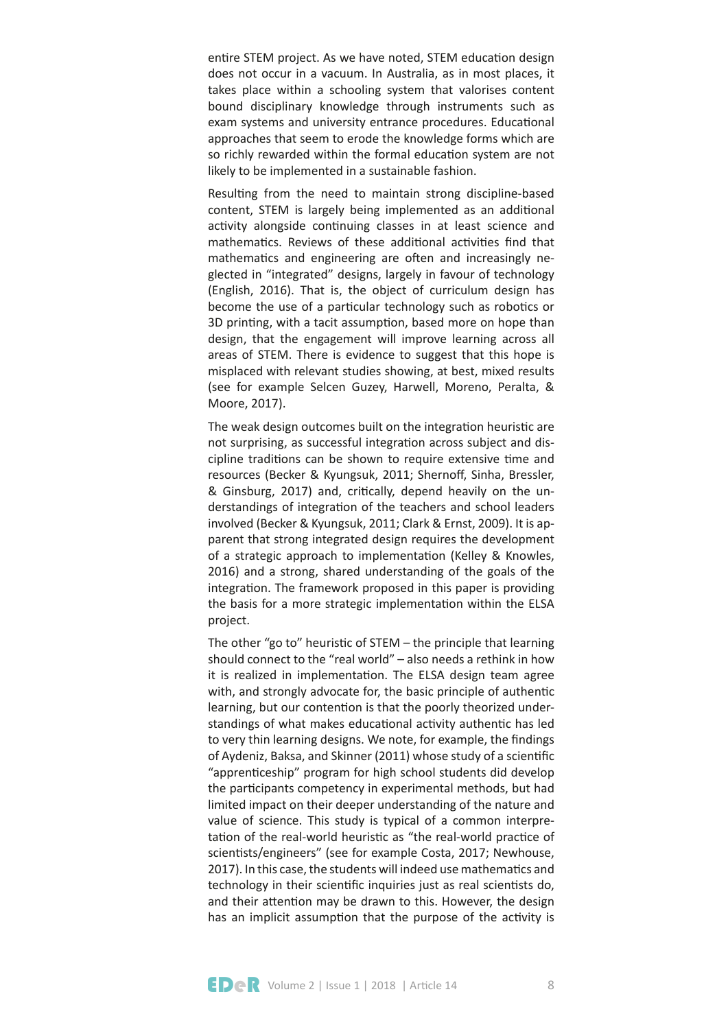entire STEM project. As we have noted, STEM education design does not occur in a vacuum. In Australia, as in most places, it takes place within a schooling system that valorises content bound disciplinary knowledge through instruments such as exam systems and university entrance procedures. Educational approaches that seem to erode the knowledge forms which are so richly rewarded within the formal education system are not likely to be implemented in a sustainable fashion.

Resultng from the need to maintain strong discipline-based content, STEM is largely being implemented as an additonal activity alongside continuing classes in at least science and mathematics. Reviews of these additional activities find that mathematics and engineering are often and increasingly neglected in "integrated" designs, largely in favour of technology (English, 2016). That is, the object of curriculum design has become the use of a particular technology such as robotics or 3D printing, with a tacit assumption, based more on hope than design, that the engagement will improve learning across all areas of STEM. There is evidence to suggest that this hope is misplaced with relevant studies showing, at best, mixed results (see for example Selcen Guzey, Harwell, Moreno, Peralta, & Moore, 2017).

The weak design outcomes built on the integration heuristic are not surprising, as successful integration across subject and discipline traditons can be shown to require extensive tme and resources (Becker & Kyungsuk, 2011; Shernoff, Sinha, Bressler, & Ginsburg, 2017) and, critcally, depend heavily on the understandings of integration of the teachers and school leaders involved (Becker & Kyungsuk, 2011; Clark & Ernst, 2009). It is apparent that strong integrated design requires the development of a strategic approach to implementaton (Kelley & Knowles, 2016) and a strong, shared understanding of the goals of the integration. The framework proposed in this paper is providing the basis for a more strategic implementation within the ELSA project.

The other "go to" heuristic of  $STEM$  – the principle that learning should connect to the "real world" – also needs a rethink in how it is realized in implementation. The ELSA design team agree with, and strongly advocate for, the basic principle of authentic learning, but our contention is that the poorly theorized understandings of what makes educational activity authentic has led to very thin learning designs. We note, for example, the fndings of Aydeniz, Baksa, and Skinner (2011) whose study of a scientific "apprenticeship" program for high school students did develop the participants competency in experimental methods, but had limited impact on their deeper understanding of the nature and value of science. This study is typical of a common interpretation of the real-world heuristic as "the real-world practice of scientists/engineers" (see for example Costa, 2017; Newhouse, 2017). In this case, the students will indeed use mathematics and technology in their scientific inquiries just as real scientists do, and their attention may be drawn to this. However, the design has an implicit assumption that the purpose of the activity is

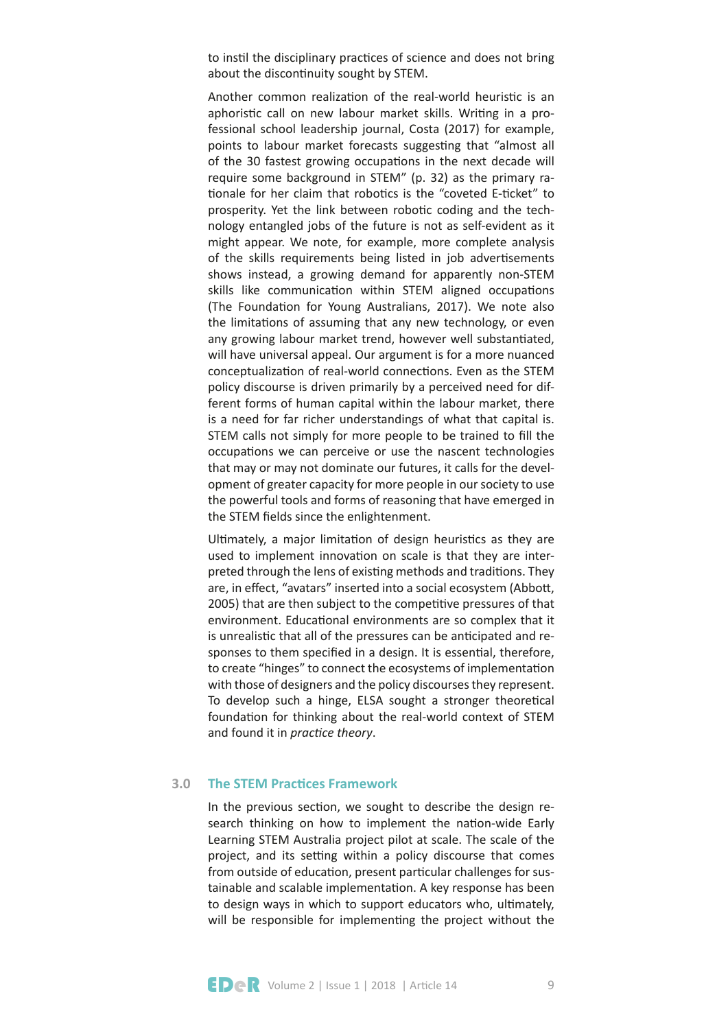to instil the disciplinary practices of science and does not bring about the discontinuity sought by STEM.

Another common realization of the real-world heuristic is an aphoristic call on new labour market skills. Writing in a professional school leadership journal, Costa (2017) for example, points to labour market forecasts suggesting that "almost all of the 30 fastest growing occupatons in the next decade will require some background in STEM" (p. 32) as the primary rationale for her claim that robotics is the "coveted E-ticket" to prosperity. Yet the link between robotic coding and the technology entangled jobs of the future is not as self-evident as it might appear. We note, for example, more complete analysis of the skills requirements being listed in job advertisements shows instead, a growing demand for apparently non-STEM skills like communication within STEM aligned occupations (The Foundaton for Young Australians, 2017). We note also the limitations of assuming that any new technology, or even any growing labour market trend, however well substantiated, will have universal appeal. Our argument is for a more nuanced conceptualization of real-world connections. Even as the STEM policy discourse is driven primarily by a perceived need for different forms of human capital within the labour market, there is a need for far richer understandings of what that capital is. STEM calls not simply for more people to be trained to fll the occupations we can perceive or use the nascent technologies that may or may not dominate our futures, it calls for the development of greater capacity for more people in our society to use the powerful tools and forms of reasoning that have emerged in the STEM fields since the enlightenment.

Ultimately, a major limitation of design heuristics as they are used to implement innovation on scale is that they are interpreted through the lens of existng methods and traditons. They are, in effect, "avatars" inserted into a social ecosystem (Abbott, 2005) that are then subject to the competitive pressures of that environment. Educational environments are so complex that it is unrealistic that all of the pressures can be anticipated and responses to them specified in a design. It is essential, therefore, to create "hinges" to connect the ecosystems of implementaton with those of designers and the policy discourses they represent. To develop such a hinge, ELSA sought a stronger theoretical foundation for thinking about the real-world context of STEM and found it in *practice theory*.

#### **The STEM Practices Framework 3.0**

In the previous section, we sought to describe the design research thinking on how to implement the nation-wide Early Learning STEM Australia project pilot at scale. The scale of the project, and its setting within a policy discourse that comes from outside of education, present particular challenges for sustainable and scalable implementaton. A key response has been to design ways in which to support educators who, ultmately, will be responsible for implementing the project without the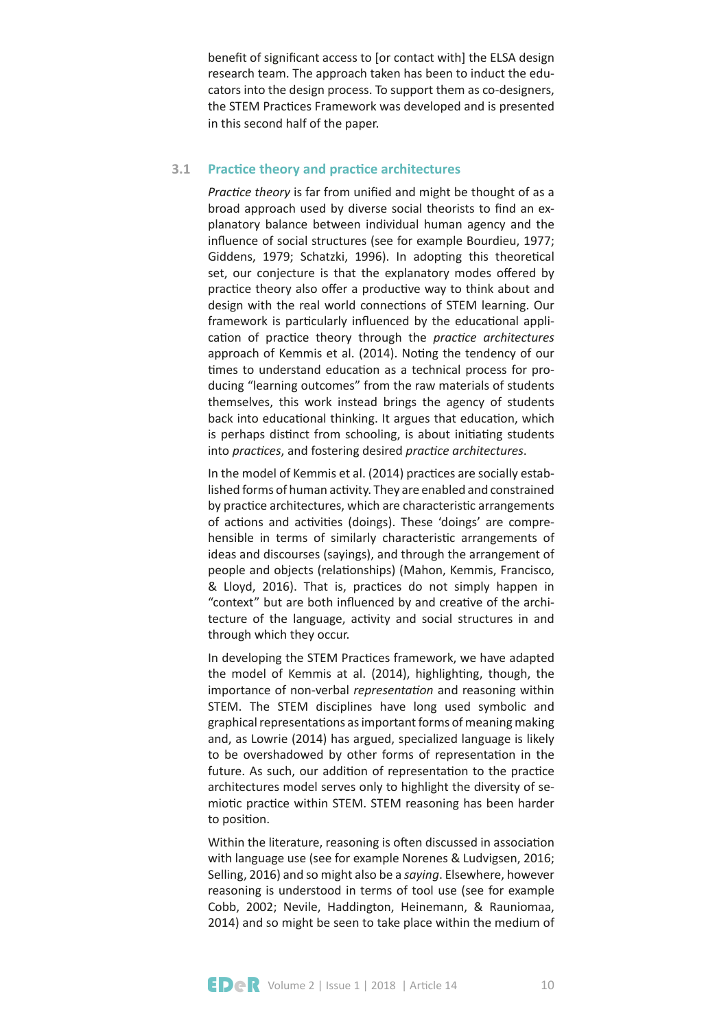beneft of signifcant access to [or contact with] the ELSA design research team. The approach taken has been to induct the educators into the design process. To support them as co-designers, the STEM Practices Framework was developed and is presented in this second half of the paper.

#### **Practice theory and practice architectures 3.1**

*Practice theory* is far from unified and might be thought of as a broad approach used by diverse social theorists to fnd an explanatory balance between individual human agency and the infuence of social structures (see for example Bourdieu, 1977; Giddens, 1979; Schatzki, 1996). In adopting this theoretical set, our conjecture is that the explanatory modes offered by practice theory also offer a productive way to think about and design with the real world connections of STEM learning. Our framework is particularly influenced by the educational application of practice theory through the *practice architectures* approach of Kemmis et al. (2014). Noting the tendency of our times to understand education as a technical process for producing "learning outcomes" from the raw materials of students themselves, this work instead brings the agency of students back into educational thinking. It argues that education, which is perhaps distinct from schooling, is about initiating students into *practices*, and fostering desired *practice architectures*.

In the model of Kemmis et al. (2014) practices are socially established forms of human activity. They are enabled and constrained by practice architectures, which are characteristic arrangements of actions and activities (doings). These 'doings' are comprehensible in terms of similarly characteristic arrangements of ideas and discourses (sayings), and through the arrangement of people and objects (relationships) (Mahon, Kemmis, Francisco, & Lloyd, 2016). That is, practices do not simply happen in "context" but are both influenced by and creative of the architecture of the language, activity and social structures in and through which they occur.

In developing the STEM Practices framework, we have adapted the model of Kemmis at al. (2014), highlighting, though, the importance of non-verbal *representaton* and reasoning within STEM. The STEM disciplines have long used symbolic and graphical representatons as important forms of meaning making and, as Lowrie (2014) has argued, specialized language is likely to be overshadowed by other forms of representation in the future. As such, our addition of representation to the practice architectures model serves only to highlight the diversity of semiotic practice within STEM. STEM reasoning has been harder to position.

Within the literature, reasoning is often discussed in association with language use (see for example Norenes & Ludvigsen, 2016; Selling, 2016) and so might also be a *saying*. Elsewhere, however reasoning is understood in terms of tool use (see for example Cobb, 2002; Nevile, Haddington, Heinemann, & Rauniomaa, 2014) and so might be seen to take place within the medium of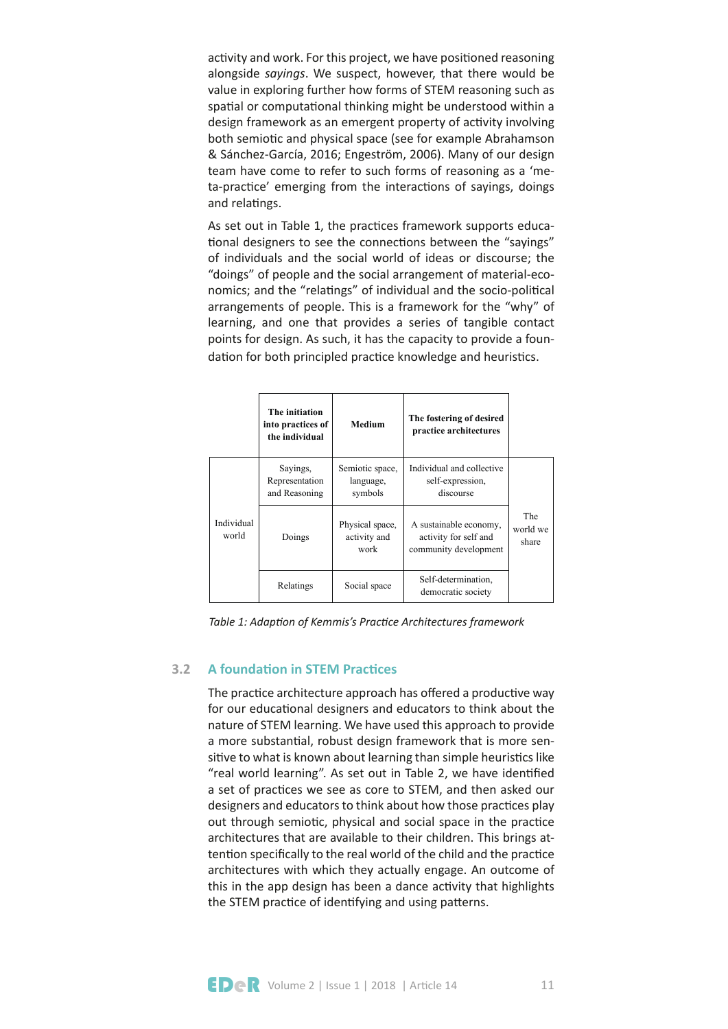activity and work. For this project, we have positioned reasoning alongside *sayings*. We suspect, however, that there would be value in exploring further how forms of STEM reasoning such as spatial or computational thinking might be understood within a design framework as an emergent property of activity involving both semiotic and physical space (see for example Abrahamson & Sánchez-García, 2016; Engeström, 2006). Many of our design team have come to refer to such forms of reasoning as a 'meta-practice' emerging from the interactions of sayings, doings and relatings.

learning, and one that provides a series of tangible contact dation for both principled practice knowledge and heuristics. As set out in Table 1, the practices framework supports educational designers to see the connections between the "sayings" of individuals and the social world of ideas or discourse; the "doings" of people and the social arrangement of material-economics; and the "relatings" of individual and the socio-political arrangements of people. This is a framework for the "why" of points for design. As such, it has the capacity to provide a foun-

|                     | The initiation<br>into practices of<br>the individual | <b>Medium</b>                           | The fostering of desired<br>practice architectures                       |                          |  |
|---------------------|-------------------------------------------------------|-----------------------------------------|--------------------------------------------------------------------------|--------------------------|--|
| Individual<br>world | Sayings,<br>Representation<br>and Reasoning           | Semiotic space,<br>language,<br>symbols | Individual and collective<br>self-expression,<br>discourse               |                          |  |
|                     | Doings                                                | Physical space,<br>activity and<br>work | A sustainable economy,<br>activity for self and<br>community development | The<br>world we<br>share |  |
|                     | Relatings                                             | Social space                            | Self-determination.<br>democratic society                                |                          |  |

*STEM Practices Table 1: Adapton of Kemmis's Practce Architectures framework*

#### **A foundation in STEM Practices 3.2**

The practice architecture approach has offered a productive way for our educational designers and educators to think about the nature of STEM learning. We have used this approach to provide a more substantial, robust design framework that is more sensitive to what is known about learning than simple heuristics like "real world learning". As set out in Table 2, we have identified a set of practices we see as core to STEM, and then asked our designers and educators to think about how those practices play out through semiotic, physical and social space in the practice architectures that are available to their children. This brings attention specifically to the real world of the child and the practice architectures with which they actually engage. An outcome of this in the app design has been a dance activity that highlights the STEM practice of identifying and using patterns.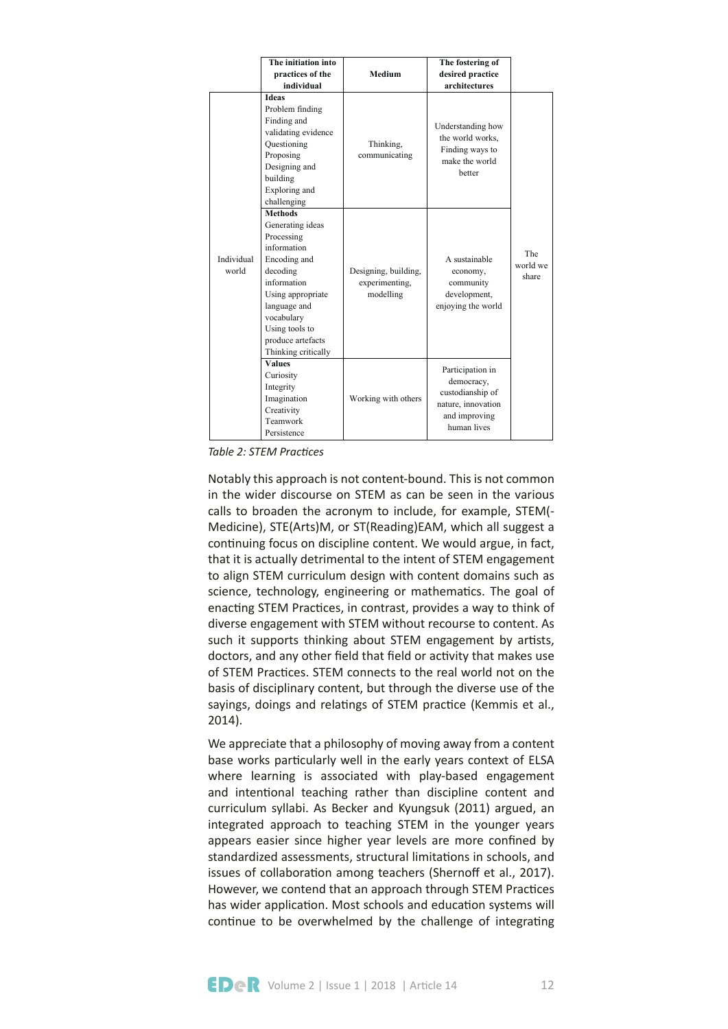|                     | The initiation into                                                                                                                                                                                                                        |                                                     | The fostering of                                                                                         |                          |
|---------------------|--------------------------------------------------------------------------------------------------------------------------------------------------------------------------------------------------------------------------------------------|-----------------------------------------------------|----------------------------------------------------------------------------------------------------------|--------------------------|
|                     | practices of the                                                                                                                                                                                                                           | Medium                                              | desired practice                                                                                         |                          |
|                     | individual                                                                                                                                                                                                                                 |                                                     | architectures                                                                                            |                          |
| Individual<br>world | <b>Ideas</b><br>Problem finding<br>Finding and<br>validating evidence<br>Questioning<br>Proposing<br>Designing and<br>building<br>Exploring and                                                                                            | Thinking,<br>communicating                          | Understanding how<br>the world works,<br>Finding ways to<br>make the world<br>hetter                     |                          |
|                     | challenging<br><b>Methods</b><br>Generating ideas<br>Processing<br>information<br>Encoding and<br>decoding<br>information<br>Using appropriate<br>language and<br>vocabulary<br>Using tools to<br>produce artefacts<br>Thinking critically | Designing, building,<br>experimenting,<br>modelling | A sustainable<br>economy,<br>community<br>development,<br>enjoying the world                             | The<br>world we<br>share |
|                     | <b>Values</b><br>Curiosity<br>Integrity<br>Imagination<br>Creativity<br>Teamwork<br>Persistence                                                                                                                                            | Working with others                                 | Participation in<br>democracy,<br>custodianship of<br>nature, innovation<br>and improving<br>human lives |                          |

**Table 2: STEM Practices** 

Notably this approach is not content-bound. This is not common in the wider discourse on STEM as can be seen in the various calls to broaden the acronym to include, for example, STEM(- Medicine), STE(Arts)M, or ST(Reading)EAM, which all suggest a continuing focus on discipline content. We would argue, in fact, that it is actually detrimental to the intent of STEM engagement to align STEM curriculum design with content domains such as science, technology, engineering or mathematics. The goal of enacting STEM Practices, in contrast, provides a way to think of diverse engagement with STEM without recourse to content. As such it supports thinking about STEM engagement by artists, doctors, and any other field that field or activity that makes use of STEM Practices. STEM connects to the real world not on the basis of disciplinary content, but through the diverse use of the sayings, doings and relatings of STEM practice (Kemmis et al., 2014).

We appreciate that a philosophy of moving away from a content base works particularly well in the early years context of ELSA where learning is associated with play-based engagement and intentional teaching rather than discipline content and curriculum syllabi. As Becker and Kyungsuk (2011) argued, an integrated approach to teaching STEM in the younger years appears easier since higher year levels are more confned by standardized assessments, structural limitations in schools, and issues of collaboration among teachers (Shernoff et al., 2017). However, we contend that an approach through STEM Practices has wider application. Most schools and education systems will continue to be overwhelmed by the challenge of integrating

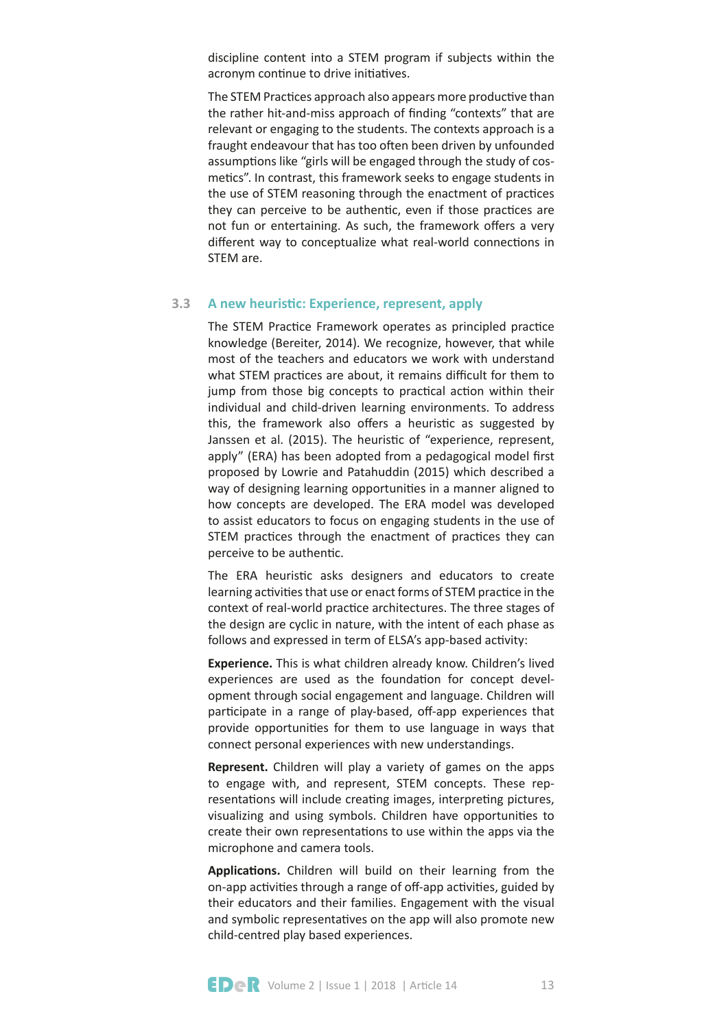discipline content into a STEM program if subjects within the acronym continue to drive initiatives.

The STEM Practices approach also appears more productive than the rather hit-and-miss approach of finding "contexts" that are relevant or engaging to the students. The contexts approach is a fraught endeavour that has too often been driven by unfounded assumptions like "girls will be engaged through the study of cosmetics". In contrast, this framework seeks to engage students in the use of STEM reasoning through the enactment of practices they can perceive to be authentic, even if those practices are not fun or entertaining. As such, the framework offers a very different way to conceptualize what real-world connections in STEM are.

#### A new heuristic: Experience, represent, apply **3.3**

The STEM Practice Framework operates as principled practice knowledge (Bereiter, 2014). We recognize, however, that while most of the teachers and educators we work with understand what STEM practices are about, it remains difficult for them to jump from those big concepts to practical action within their individual and child-driven learning environments. To address this, the framework also offers a heuristic as suggested by Janssen et al. (2015). The heuristic of "experience, represent, apply" (ERA) has been adopted from a pedagogical model first proposed by Lowrie and Patahuddin (2015) which described a way of designing learning opportunities in a manner aligned to how concepts are developed. The ERA model was developed to assist educators to focus on engaging students in the use of STEM practices through the enactment of practices they can perceive to be authentic.

The ERA heuristic asks designers and educators to create learning activities that use or enact forms of STEM practice in the context of real-world practice architectures. The three stages of the design are cyclic in nature, with the intent of each phase as follows and expressed in term of ELSA's app-based activity:

**Experience.** This is what children already know. Children's lived experiences are used as the foundaton for concept development through social engagement and language. Children will participate in a range of play-based, off-app experiences that provide opportunites for them to use language in ways that connect personal experiences with new understandings.

**Represent.** Children will play a variety of games on the apps to engage with, and represent, STEM concepts. These representations will include creating images, interpreting pictures, visualizing and using symbols. Children have opportunites to create their own representatons to use within the apps via the microphone and camera tools.

Applications. Children will build on their learning from the on-app activities through a range of off-app activities, guided by their educators and their families. Engagement with the visual and symbolic representatives on the app will also promote new child-centred play based experiences.

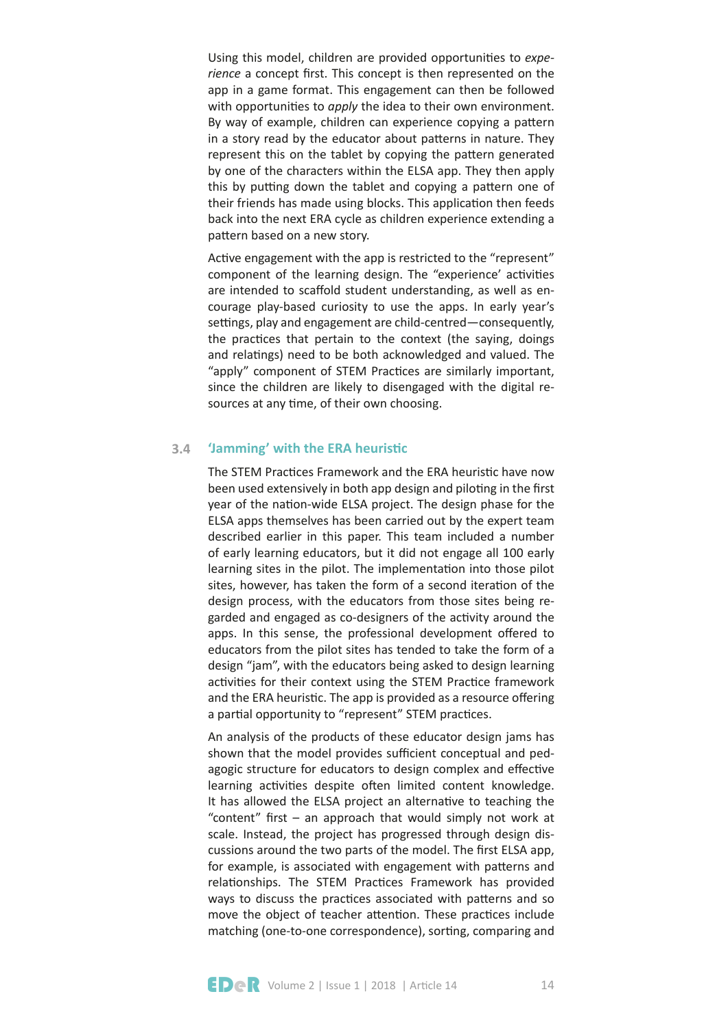Using this model, children are provided opportunites to *experience* a concept frst. This concept is then represented on the app in a game format. This engagement can then be followed with opportunities to *apply* the idea to their own environment. By way of example, children can experience copying a pattern in a story read by the educator about patterns in nature. They represent this on the tablet by copying the patern generated by one of the characters within the ELSA app. They then apply this by putting down the tablet and copying a pattern one of their friends has made using blocks. This application then feeds back into the next ERA cycle as children experience extending a pattern based on a new story.

Active engagement with the app is restricted to the "represent" component of the learning design. The "experience' activities are intended to scaffold student understanding, as well as encourage play-based curiosity to use the apps. In early year's settings, play and engagement are child-centred-consequently, the practices that pertain to the context (the saying, doings and relatings) need to be both acknowledged and valued. The "apply" component of STEM Practices are similarly important, since the children are likely to disengaged with the digital resources at any time, of their own choosing.

#### 'Jamming' with the ERA heuristic **3.4**

The STEM Practices Framework and the ERA heuristic have now been used extensively in both app design and piloting in the first year of the nation-wide ELSA project. The design phase for the ELSA apps themselves has been carried out by the expert team described earlier in this paper. This team included a number of early learning educators, but it did not engage all 100 early learning sites in the pilot. The implementation into those pilot sites, however, has taken the form of a second iteration of the design process, with the educators from those sites being regarded and engaged as co-designers of the activity around the apps. In this sense, the professional development offered to educators from the pilot sites has tended to take the form of a design "jam", with the educators being asked to design learning activities for their context using the STEM Practice framework and the ERA heuristic. The app is provided as a resource offering a partial opportunity to "represent" STEM practices.

An analysis of the products of these educator design jams has shown that the model provides sufficient conceptual and pedagogic structure for educators to design complex and effective learning activities despite often limited content knowledge. It has allowed the ELSA project an alternative to teaching the "content" frst – an approach that would simply not work at scale. Instead, the project has progressed through design discussions around the two parts of the model. The frst ELSA app, for example, is associated with engagement with paterns and relationships. The STEM Practices Framework has provided ways to discuss the practices associated with patterns and so move the object of teacher attention. These practices include matching (one-to-one correspondence), sorting, comparing and

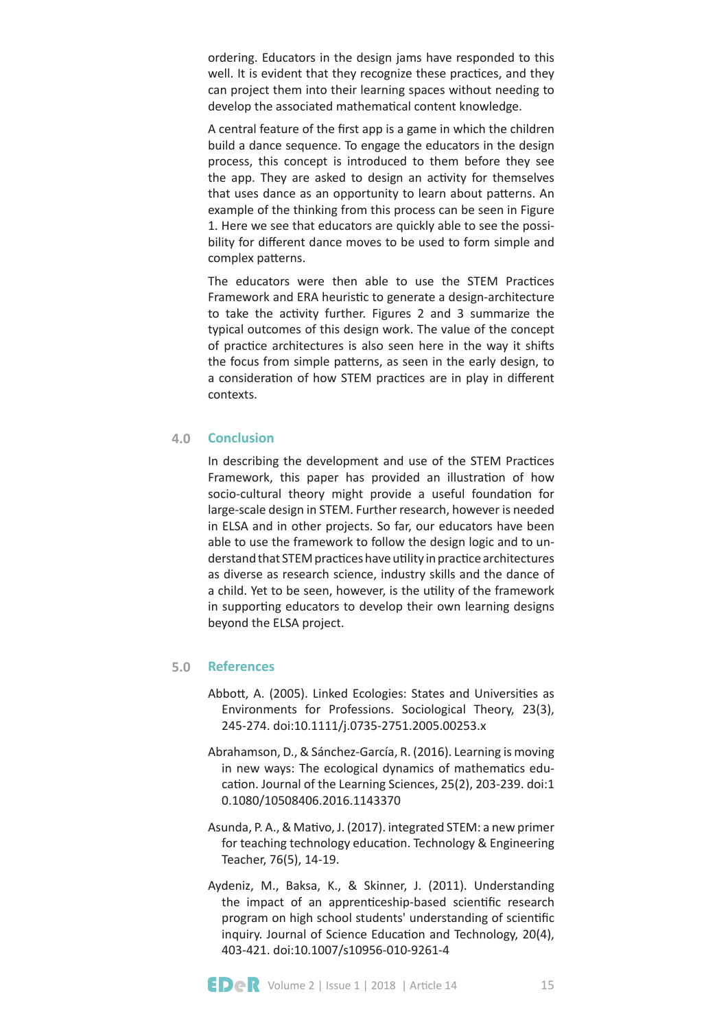ordering. Educators in the design jams have responded to this well. It is evident that they recognize these practices, and they can project them into their learning spaces without needing to develop the associated mathematical content knowledge.

A central feature of the frst app is a game in which the children build a dance sequence. To engage the educators in the design process, this concept is introduced to them before they see the app. They are asked to design an activity for themselves that uses dance as an opportunity to learn about paterns. An example of the thinking from this process can be seen in Figure 1. Here we see that educators are quickly able to see the possibility for diferent dance moves to be used to form simple and complex paterns.

The educators were then able to use the STEM Practices Framework and ERA heuristic to generate a design-architecture to take the activity further. Figures 2 and 3 summarize the typical outcomes of this design work. The value of the concept of practice architectures is also seen here in the way it shifts the focus from simple paterns, as seen in the early design, to a consideration of how STEM practices are in play in different contexts.

#### **Conclusion 4.0**

In describing the development and use of the STEM Practices Framework, this paper has provided an illustration of how socio-cultural theory might provide a useful foundation for large-scale design in STEM. Further research, however is needed in ELSA and in other projects. So far, our educators have been able to use the framework to follow the design logic and to understand that STEM practices have utility in practice architectures as diverse as research science, industry skills and the dance of a child. Yet to be seen, however, is the utlity of the framework in supporting educators to develop their own learning designs beyond the ELSA project.

#### **References 5.0**

- Abbott, A. (2005). Linked Ecologies: States and Universities as Environments for Professions. Sociological Theory, 23(3), 245-274. doi:10.1111/j.0735-2751.2005.00253.x
- Abrahamson, D., & Sánchez-García, R. (2016). Learning is moving in new ways: The ecological dynamics of mathematics education. Journal of the Learning Sciences, 25(2), 203-239. doi:1 0.1080/10508406.2016.1143370
- Asunda, P. A., & Matvo, J. (2017). integrated STEM: a new primer for teaching technology education. Technology & Engineering Teacher, 76(5), 14-19.
- Aydeniz, M., Baksa, K., & Skinner, J. (2011). Understanding the impact of an apprenticeship-based scientific research program on high school students' understanding of scientific inquiry. Journal of Science Education and Technology, 20(4), 403-421. doi:10.1007/s10956-010-9261-4

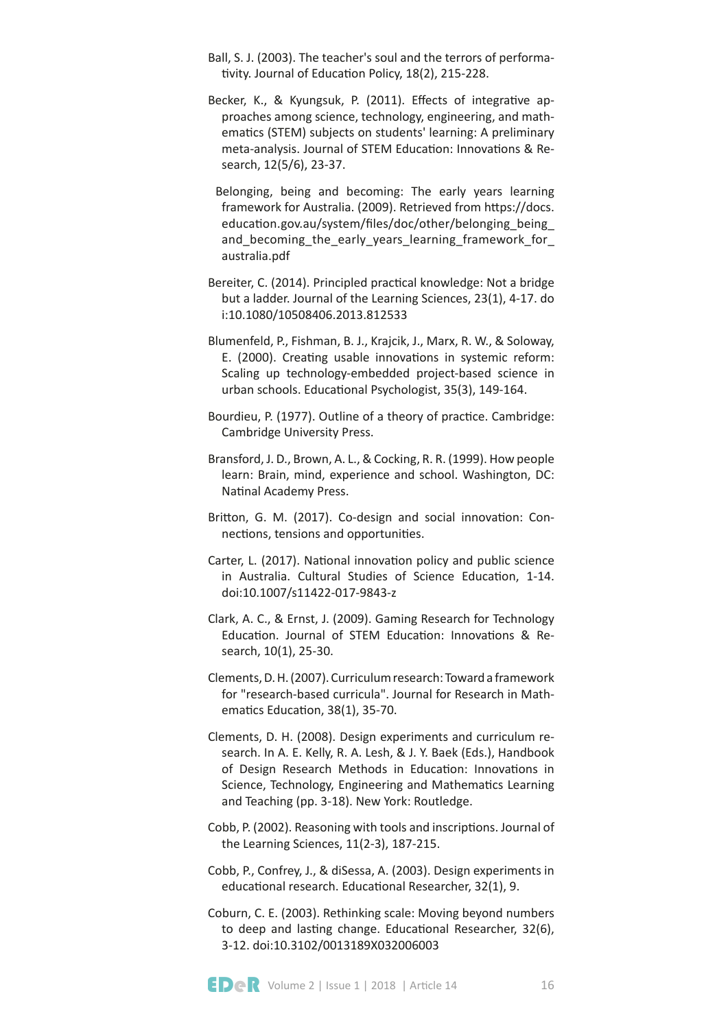- Ball, S. J. (2003). The teacher's soul and the terrors of performativity. Journal of Education Policy, 18(2), 215-228.
- Becker, K., & Kyungsuk, P. (2011). Effects of integrative approaches among science, technology, engineering, and mathematics (STEM) subjects on students' learning: A preliminary meta-analysis. Journal of STEM Education: Innovations & Research, 12(5/6), 23-37.
- Belonging, being and becoming: The early years learning framework for Australia. (2009). Retrieved from https://docs. education.gov.au/system/files/doc/other/belonging being and becoming the early years learning framework for australia.pdf
- Bereiter, C. (2014). Principled practical knowledge: Not a bridge but a ladder. Journal of the Learning Sciences, 23(1), 4-17. do i:10.1080/10508406.2013.812533
- Blumenfeld, P., Fishman, B. J., Krajcik, J., Marx, R. W., & Soloway, E. (2000). Creating usable innovations in systemic reform: Scaling up technology-embedded project-based science in urban schools. Educational Psychologist, 35(3), 149-164.
- Bourdieu, P. (1977). Outline of a theory of practice. Cambridge: Cambridge University Press.
- Bransford, J. D., Brown, A. L., & Cocking, R. R. (1999). How people learn: Brain, mind, experience and school. Washington, DC: Natinal Academy Press.
- Britton, G. M. (2017). Co-design and social innovation: Connections, tensions and opportunities.
- Carter, L. (2017). National innovation policy and public science in Australia. Cultural Studies of Science Education, 1-14. doi:10.1007/s11422-017-9843-z
- Clark, A. C., & Ernst, J. (2009). Gaming Research for Technology Education. Journal of STEM Education: Innovations & Research, 10(1), 25-30.
- Clements, D. H. (2007). Curriculum research: Toward a framework for "research-based curricula". Journal for Research in Mathematics Education, 38(1), 35-70.
- Clements, D. H. (2008). Design experiments and curriculum research. In A. E. Kelly, R. A. Lesh, & J. Y. Baek (Eds.), Handbook of Design Research Methods in Education: Innovations in Science, Technology, Engineering and Mathematics Learning and Teaching (pp. 3-18). New York: Routledge.
- Cobb, P. (2002). Reasoning with tools and inscriptons. Journal of the Learning Sciences, 11(2-3), 187-215.
- Cobb, P., Confrey, J., & diSessa, A. (2003). Design experiments in educational research. Educational Researcher, 32(1), 9.
- Coburn, C. E. (2003). Rethinking scale: Moving beyond numbers to deep and lasting change. Educational Researcher, 32(6), 3-12. doi:10.3102/0013189X032006003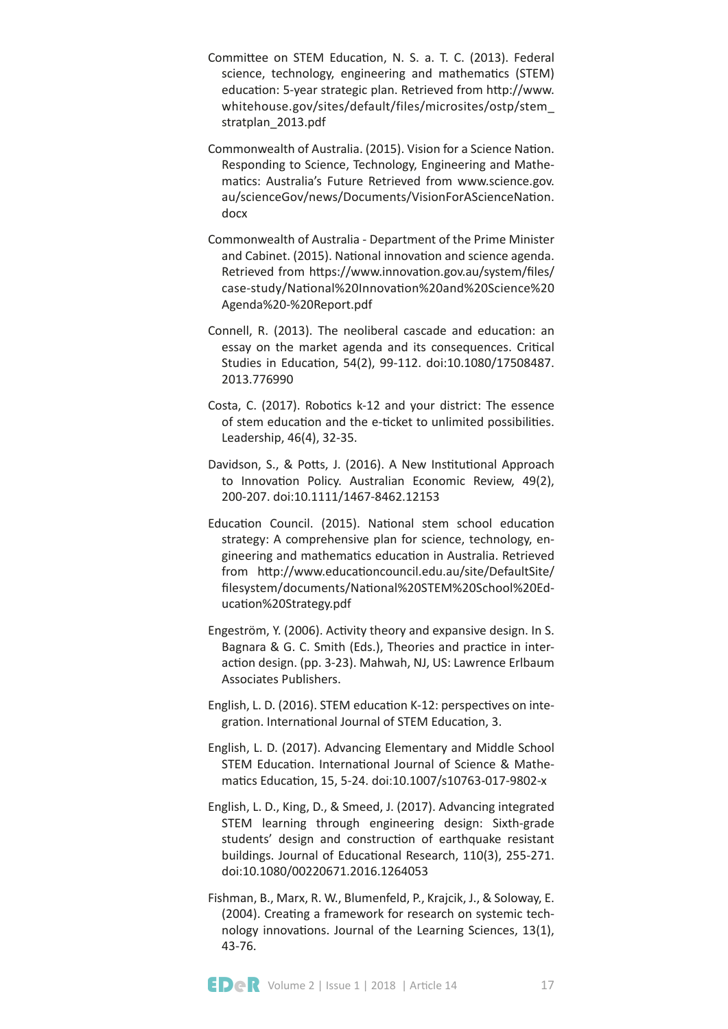- Committee on STEM Education, N. S. a. T. C. (2013). Federal science, technology, engineering and mathematics (STEM) education: 5-year strategic plan. Retrieved from http://www. whitehouse.gov/sites/default/files/microsites/ostp/stem\_ stratplan\_2013.pdf
- Commonwealth of Australia. (2015). Vision for a Science Naton. Responding to Science, Technology, Engineering and Mathematics: Australia's Future Retrieved from www.science.gov. au/scienceGov/news/Documents/VisionForAScienceNaton. docx
- Commonwealth of Australia Department of the Prime Minister and Cabinet. (2015). National innovation and science agenda. Retrieved from https://www.innovation.gov.au/system/files/ case-study/Natonal%20Innovaton%20and%20Science%20 Agenda%20-%20Report.pdf
- Connell, R. (2013). The neoliberal cascade and education: an essay on the market agenda and its consequences. Critical Studies in Educaton, 54(2), 99-112. doi:10.1080/17508487. 2013.776990
- Costa, C. (2017). Robotics k-12 and your district: The essence of stem education and the e-ticket to unlimited possibilities. Leadership, 46(4), 32-35.
- Davidson, S., & Potts, J. (2016). A New Institutional Approach to Innovation Policy. Australian Economic Review, 49(2), 200-207. doi:10.1111/1467-8462.12153
- Education Council. (2015). National stem school education strategy: A comprehensive plan for science, technology, engineering and mathematcs educaton in Australia. Retrieved from htp://www.educatoncouncil.edu.au/site/DefaultSite/ flesystem/documents/Natonal%20STEM%20School%20Education%20Strategy.pdf
- Engeström, Y. (2006). Activity theory and expansive design. In S. Bagnara & G. C. Smith (Eds.), Theories and practice in interaction design. (pp. 3-23). Mahwah, NJ, US: Lawrence Erlbaum Associates Publishers.
- English, L. D. (2016). STEM education K-12: perspectives on integration. International Journal of STEM Education, 3.
- English, L. D. (2017). Advancing Elementary and Middle School STEM Education. International Journal of Science & Mathematics Education, 15, 5-24. doi:10.1007/s10763-017-9802-x
- English, L. D., King, D., & Smeed, J. (2017). Advancing integrated STEM learning through engineering design: Sixth-grade students' design and construction of earthquake resistant buildings. Journal of Educational Research, 110(3), 255-271. doi:10.1080/00220671.2016.1264053
- Fishman, B., Marx, R. W., Blumenfeld, P., Krajcik, J., & Soloway, E. (2004). Creatng a framework for research on systemic technology innovations. Journal of the Learning Sciences, 13(1), 43-76.

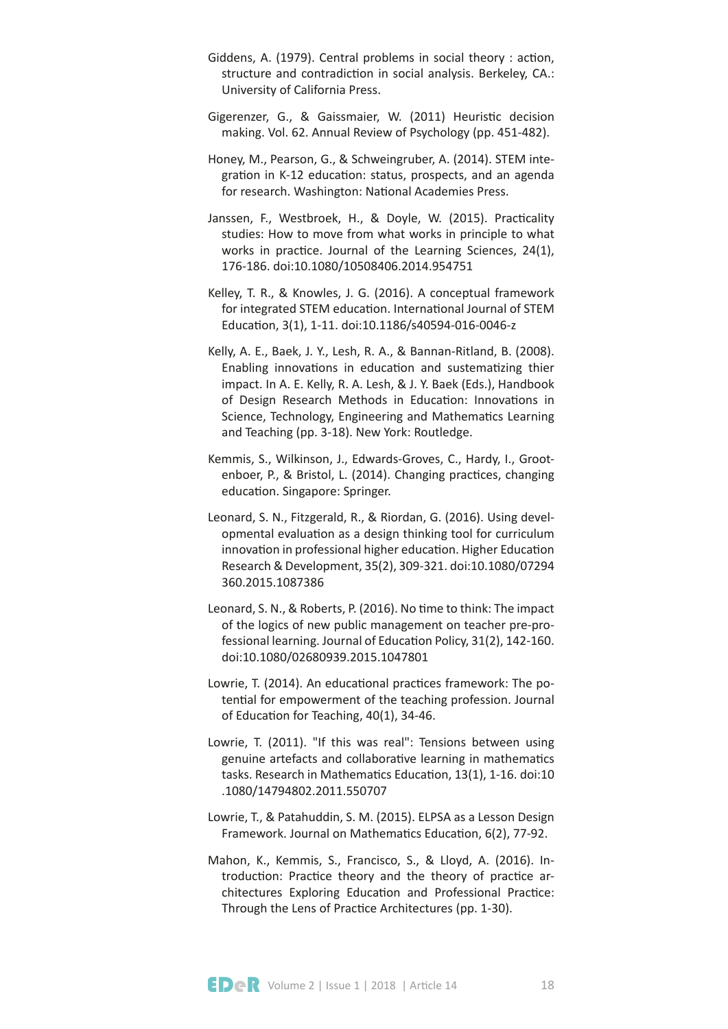- Giddens, A. (1979). Central problems in social theory : action, structure and contradiction in social analysis. Berkeley, CA.: University of California Press.
- Gigerenzer, G., & Gaissmaier, W. (2011) Heuristic decision making. Vol. 62. Annual Review of Psychology (pp. 451-482).
- Honey, M., Pearson, G., & Schweingruber, A. (2014). STEM integration in K-12 education: status, prospects, and an agenda for research. Washington: National Academies Press.
- Janssen, F., Westbroek, H., & Doyle, W. (2015). Practicality studies: How to move from what works in principle to what works in practice. Journal of the Learning Sciences, 24(1), 176-186. doi:10.1080/10508406.2014.954751
- Kelley, T. R., & Knowles, J. G. (2016). A conceptual framework for integrated STEM education. International Journal of STEM Educaton, 3(1), 1-11. doi:10.1186/s40594-016-0046-z
- Kelly, A. E., Baek, J. Y., Lesh, R. A., & Bannan-Ritland, B. (2008). Enabling innovations in education and sustematizing thier impact. In A. E. Kelly, R. A. Lesh, & J. Y. Baek (Eds.), Handbook of Design Research Methods in Education: Innovations in Science, Technology, Engineering and Mathematics Learning and Teaching (pp. 3-18). New York: Routledge.
- Kemmis, S., Wilkinson, J., Edwards-Groves, C., Hardy, I., Grootenboer, P., & Bristol, L. (2014). Changing practices, changing education. Singapore: Springer.
- Leonard, S. N., Fitzgerald, R., & Riordan, G. (2016). Using developmental evaluaton as a design thinking tool for curriculum innovation in professional higher education. Higher Education Research & Development, 35(2), 309-321. doi:10.1080/07294 360.2015.1087386
- Leonard, S. N., & Roberts, P. (2016). No time to think: The impact of the logics of new public management on teacher pre-professional learning. Journal of Education Policy, 31(2), 142-160. doi:10.1080/02680939.2015.1047801
- Lowrie, T. (2014). An educational practices framework: The potential for empowerment of the teaching profession. Journal of Education for Teaching, 40(1), 34-46.
- Lowrie, T. (2011). "If this was real": Tensions between using genuine artefacts and collaborative learning in mathematics tasks. Research in Mathematics Education, 13(1), 1-16. doi:10 .1080/14794802.2011.550707
- Lowrie, T., & Patahuddin, S. M. (2015). ELPSA as a Lesson Design Framework. Journal on Mathematics Education, 6(2), 77-92.
- Mahon, K., Kemmis, S., Francisco, S., & Lloyd, A. (2016). Introduction: Practice theory and the theory of practice architectures Exploring Education and Professional Practice: Through the Lens of Practice Architectures (pp. 1-30).

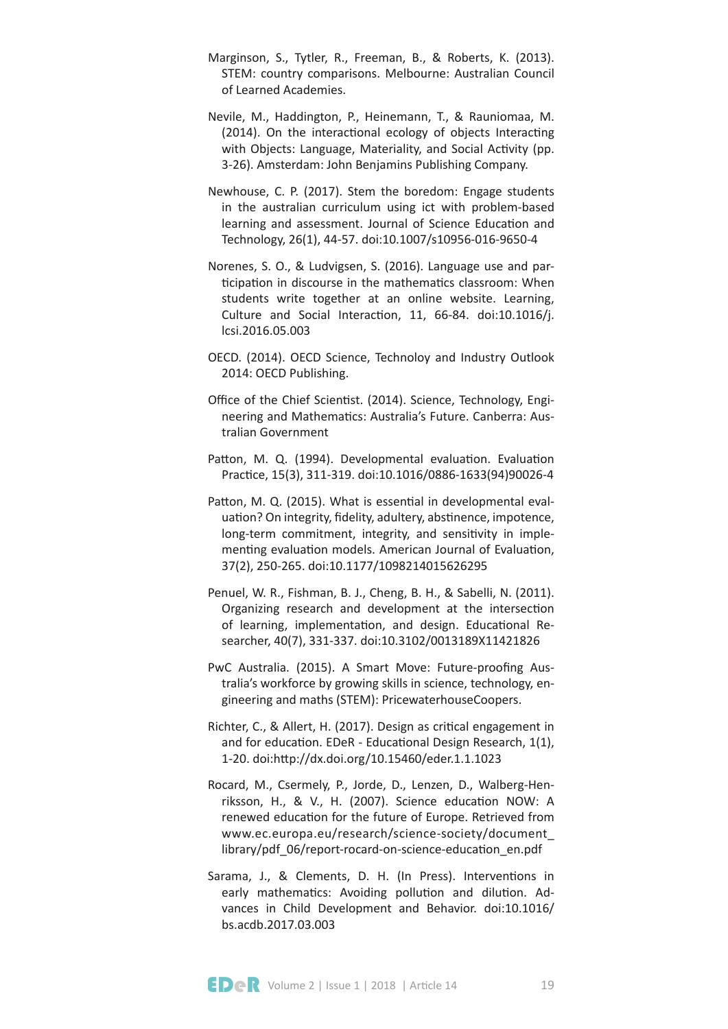- Marginson, S., Tytler, R., Freeman, B., & Roberts, K. (2013). STEM: country comparisons. Melbourne: Australian Council of Learned Academies.
- Nevile, M., Haddington, P., Heinemann, T., & Rauniomaa, M. (2014). On the interactional ecology of objects Interacting with Objects: Language, Materiality, and Social Activity (pp. 3-26). Amsterdam: John Benjamins Publishing Company.
- Newhouse, C. P. (2017). Stem the boredom: Engage students in the australian curriculum using ict with problem-based learning and assessment. Journal of Science Education and Technology, 26(1), 44-57. doi:10.1007/s10956-016-9650-4
- Norenes, S. O., & Ludvigsen, S. (2016). Language use and participation in discourse in the mathematics classroom: When students write together at an online website. Learning, Culture and Social Interaction, 11, 66-84. doi:10.1016/j. lcsi.2016.05.003
- OECD. (2014). OECD Science, Technoloy and Industry Outlook 2014: OECD Publishing.
- Office of the Chief Scientist. (2014). Science, Technology, Engineering and Mathematics: Australia's Future. Canberra: Australian Government
- Patton, M. Q. (1994). Developmental evaluation. Evaluation Practice, 15(3), 311-319. doi:10.1016/0886-1633(94)90026-4
- Patton, M. Q. (2015). What is essential in developmental evaluation? On integrity, fidelity, adultery, abstinence, impotence, long-term commitment, integrity, and sensitivity in implementing evaluation models. American Journal of Evaluation, 37(2), 250-265. doi:10.1177/1098214015626295
- Penuel, W. R., Fishman, B. J., Cheng, B. H., & Sabelli, N. (2011). Organizing research and development at the intersection of learning, implementation, and design. Educational Researcher, 40(7), 331-337. doi:10.3102/0013189X11421826
- PwC Australia. (2015). A Smart Move: Future-proofing Australia's workforce by growing skills in science, technology, engineering and maths (STEM): PricewaterhouseCoopers.
- Richter, C., & Allert, H. (2017). Design as critcal engagement in and for education. EDeR - Educational Design Research, 1(1), 1-20. doi:htp://dx.doi.org/10.15460/eder.1.1.1023
- Rocard, M., Csermely, P., Jorde, D., Lenzen, D., Walberg-Henriksson, H., & V., H. (2007). Science educaton NOW: A renewed education for the future of Europe. Retrieved from www.ec.europa.eu/research/science-society/document\_ library/pdf\_06/report-rocard-on-science-educaton\_en.pdf
- Sarama, J., & Clements, D. H. (In Press). Interventions in early mathematics: Avoiding pollution and dilution. Advances in Child Development and Behavior. doi:10.1016/ bs.acdb.2017.03.003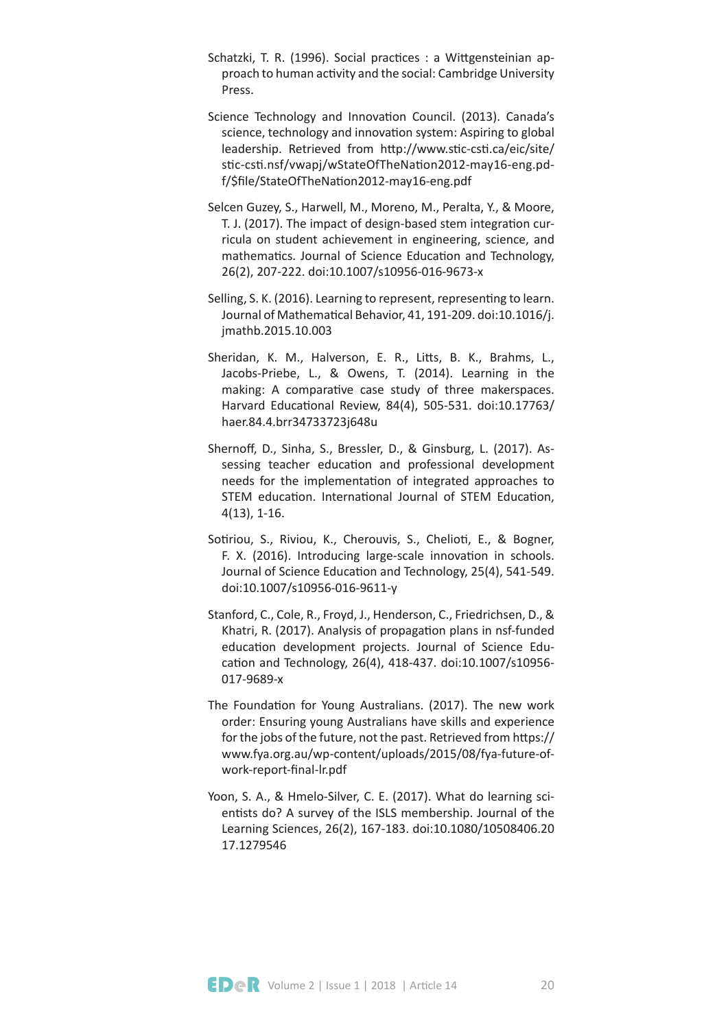- Schatzki, T. R. (1996). Social practices : a Wittgensteinian approach to human activity and the social: Cambridge University Press.
- Science Technology and Innovation Council. (2013). Canada's science, technology and innovation system: Aspiring to global leadership. Retrieved from http://www.stic-csti.ca/eic/site/ stc-cst.nsf/vwapj/wStateOfTheNaton2012-may16-eng.pdf/\$fle/StateOfTheNaton2012-may16-eng.pdf
- Selcen Guzey, S., Harwell, M., Moreno, M., Peralta, Y., & Moore, T. J. (2017). The impact of design-based stem integration curricula on student achievement in engineering, science, and mathematics. Journal of Science Education and Technology, 26(2), 207-222. doi:10.1007/s10956-016-9673-x
- Selling, S. K. (2016). Learning to represent, representing to learn. Journal of Mathematical Behavior, 41, 191-209. doi:10.1016/j. jmathb.2015.10.003
- Sheridan, K. M., Halverson, E. R., Litts, B. K., Brahms, L., Jacobs-Priebe, L., & Owens, T. (2014). Learning in the making: A comparative case study of three makerspaces. Harvard Educatonal Review, 84(4), 505-531. doi:10.17763/ haer.84.4.brr34733723j648u
- Shernoff, D., Sinha, S., Bressler, D., & Ginsburg, L. (2017). Assessing teacher education and professional development needs for the implementation of integrated approaches to STEM education. International Journal of STEM Education, 4(13), 1-16.
- Sotiriou, S., Riviou, K., Cherouvis, S., Chelioti, E., & Bogner, F. X. (2016). Introducing large-scale innovation in schools. Journal of Science Education and Technology, 25(4), 541-549. doi:10.1007/s10956-016-9611-y
- Stanford, C., Cole, R., Froyd, J., Henderson, C., Friedrichsen, D., & Khatri, R. (2017). Analysis of propagaton plans in nsf-funded education development projects. Journal of Science Education and Technology, 26(4), 418-437. doi:10.1007/s10956-017-9689-x
- The Foundaton for Young Australians. (2017). The new work order: Ensuring young Australians have skills and experience for the jobs of the future, not the past. Retrieved from htps:// www.fya.org.au/wp-content/uploads/2015/08/fya-future-ofwork-report-fnal-lr.pdf
- Yoon, S. A., & Hmelo-Silver, C. E. (2017). What do learning scientists do? A survey of the ISLS membership. Journal of the Learning Sciences, 26(2), 167-183. doi:10.1080/10508406.20 17.1279546

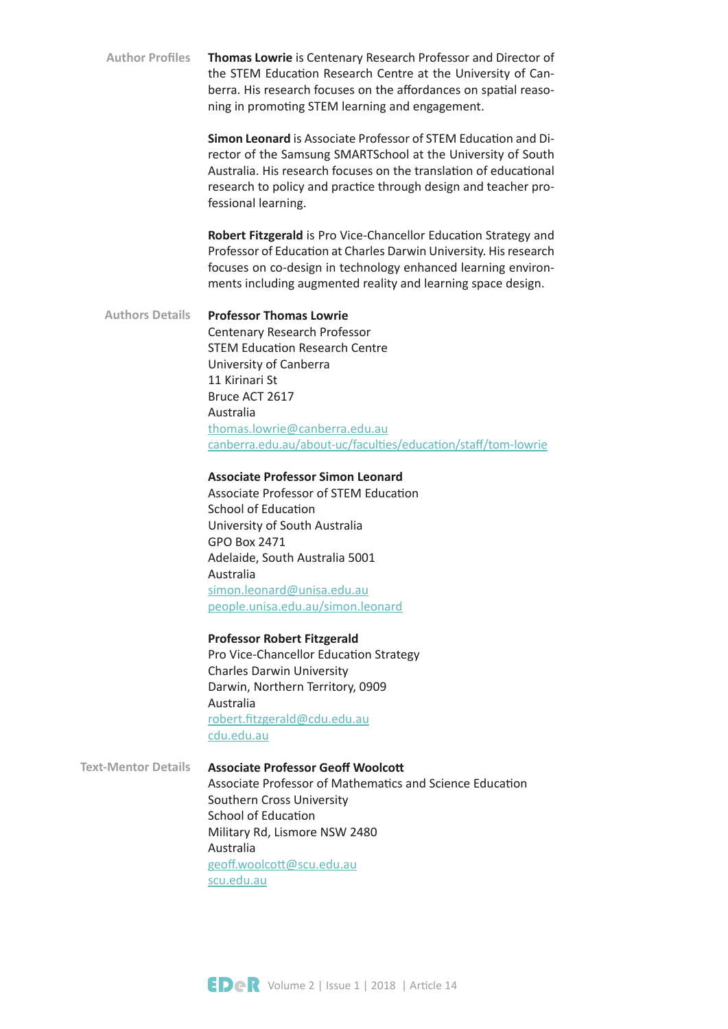**Thomas Lowrie** is Centenary Research Professor and Director of the STEM Education Research Centre at the University of Canberra. His research focuses on the affordances on spatial reasoning in promoting STEM learning and engagement. **Author Profles**

> **Simon Leonard** is Associate Professor of STEM Education and Director of the Samsung SMARTSchool at the University of South Australia. His research focuses on the translation of educational research to policy and practice through design and teacher professional learning.

> **Robert Fitzgerald** is Pro Vice-Chancellor Education Strategy and Professor of Education at Charles Darwin University. His research focuses on co-design in technology enhanced learning environments including augmented reality and learning space design.

## **Professor Thomas Lowrie** Centenary Research Professor STEM Education Research Centre University of Canberra 11 Kirinari St Bruce ACT 2617 Australia [thomas.lowrie@canberra.edu.au](mailto:thomas.lowrie%40canberra.edu.au?subject=) [canberra.edu.au/about-uc/facultes/educaton/staf/tom-lowrie](https://www.canberra.edu.au/about-uc/faculties/education/staff/tom-lowrie) **Authors Details**

## **Associate Professor Simon Leonard**

Associate Professor of STEM Education School of Education University of South Australia GPO Box 2471 Adelaide, South Australia 5001 Australia [simon.leonard@unisa.edu.au](mailto:simon.leonard%40unisa.edu.au?subject=) [people.unisa.edu.au/simon.leonard](http://people.unisa.edu.au/Simon.Leonard)

### **Professor Robert Fitzgerald**

Pro Vice-Chancellor Education Strategy Charles Darwin University Darwin, Northern Territory, 0909 Australia [robert.ftzgerald@cdu.edu.au](mailto:robert.fitzgerald%40cdu.edu.au?subject=) [cdu.edu.au](https://www.cdu.edu.au/)

**Associate Professor Geof Woolcot** Associate Professor of Mathematics and Science Education **Text-Mentor Details**

Southern Cross University School of Education Military Rd, Lismore NSW 2480 Australia geoff.woolcott@scu.edu.au [scu.edu.au](https://www.scu.edu.au/)